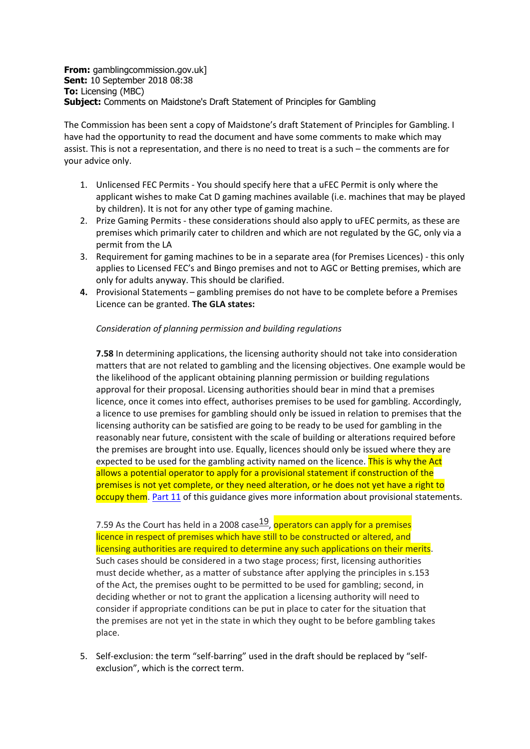**From:** gamblingcommission.gov.uk] **Sent:** 10 September 2018 08:38 **To:** Licensing (MBC) **Subject:** Comments on Maidstone's Draft Statement of Principles for Gambling

The Commission has been sent a copy of Maidstone's draft Statement of Principles for Gambling. I have had the opportunity to read the document and have some comments to make which may assist. This is not a representation, and there is no need to treat is a such – the comments are for your advice only.

- 1. Unlicensed FEC Permits You should specify here that a uFEC Permit is only where the applicant wishes to make Cat D gaming machines available (i.e. machines that may be played by children). It is not for any other type of gaming machine.
- 2. Prize Gaming Permits these considerations should also apply to uFEC permits, as these are premises which primarily cater to children and which are not regulated by the GC, only via a permit from the LA
- 3. Requirement for gaming machines to be in a separate area (for Premises Licences) this only applies to Licensed FEC's and Bingo premises and not to AGC or Betting premises, which are only for adults anyway. This should be clarified.
- **4.** Provisional Statements gambling premises do not have to be complete before a Premises Licence can be granted. **The GLA states:**

## *Consideration of planning permission and building regulations*

**7.58** In determining applications, the licensing authority should not take into consideration matters that are not related to gambling and the licensing objectives. One example would be the likelihood of the applicant obtaining planning permission or building regulations approval for their proposal. Licensing authorities should bear in mind that a premises licence, once it comes into effect, authorises premises to be used for gambling. Accordingly, a licence to use premises for gambling should only be issued in relation to premises that the licensing authority can be satisfied are going to be ready to be used for gambling in the reasonably near future, consistent with the scale of building or alterations required before the premises are brought into use. Equally, licences should only be issued where they are expected to be used for the gambling activity named on the licence. This is why the Act allows a potential operator to apply for a provisional statement if construction of the premises is not yet complete, or they need alteration, or he does not yet have a right to occupy them. [Part](http://www.gamblingcommission.gov.uk/for-licensing-authorities/GLA/Part-11-Provisional-statements.aspx) 11 of this guidance gives more information about provisional statements.

7.59 As the Court has held in a 2008 case  $\frac{19}{2}$ , operators can apply for a premises licence in respect of premises which have still to be constructed or altered, and licensing authorities are required to determine any such applications on their merits. Such cases should be considered in a two stage process; first, licensing authorities must decide whether, as a matter of substance after applying the principles in s.153 of the Act, the premises ought to be permitted to be used for gambling; second, in deciding whether or not to grant the application a licensing authority will need to consider if appropriate conditions can be put in place to cater for the situation that the premises are not yet in the state in which they ought to be before gambling takes place.

5. Self-exclusion: the term "self-barring" used in the draft should be replaced by "selfexclusion", which is the correct term.